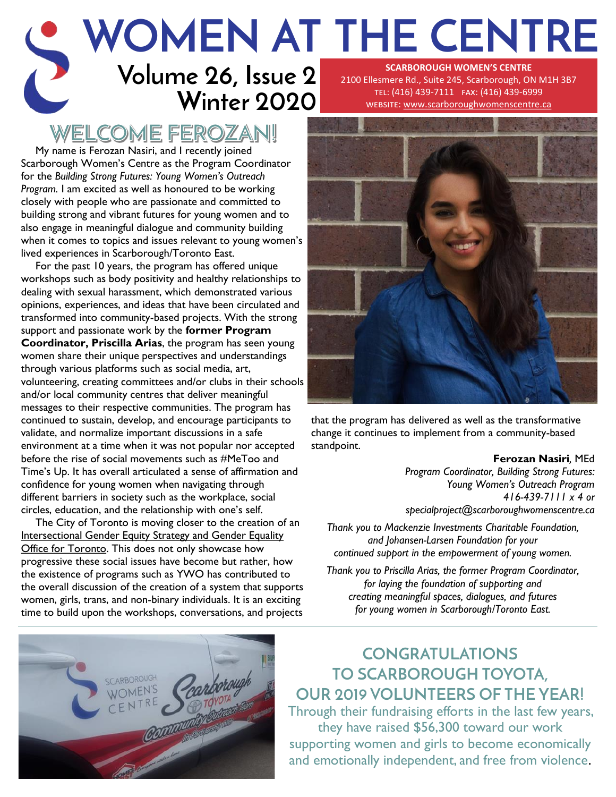#### **Volume 26, Issue 2 Winter 2020 WOMEN AT THE CENTRE SCARBOROUGH WOMEN'S CENTRE**  2100 Ellesmere Rd., Suite 245, Scarborough, ON M1H 3B7 tel: (416) 439-7111 fax: (416) 439-6999

## WELCOME FEROZAN!

D

My name is Ferozan Nasiri, and I recently joined Scarborough Women's Centre as the Program Coordinator for the *Building Strong Futures: Young Women's Outreach Program.* I am excited as well as honoured to be working closely with people who are passionate and committed to building strong and vibrant futures for young women and to also engage in meaningful dialogue and community building when it comes to topics and issues relevant to young women's lived experiences in Scarborough/Toronto East.

For the past 10 years, the program has offered unique workshops such as body positivity and healthy relationships to dealing with sexual harassment, which demonstrated various opinions, experiences, and ideas that have been circulated and transformed into community-based projects. With the strong support and passionate work by the **former Program Coordinator, Priscilla Arias**, the program has seen young women share their unique perspectives and understandings through various platforms such as social media, art, volunteering, creating committees and/or clubs in their schools and/or local community centres that deliver meaningful messages to their respective communities. The program has continued to sustain, develop, and encourage participants to validate, and normalize important discussions in a safe environment at a time when it was not popular nor accepted before the rise of social movements such as #MeToo and Time's Up. It has overall articulated a sense of affirmation and confidence for young women when navigating through different barriers in society such as the workplace, social circles, education, and the relationship with one's self.

The City of Toronto is moving closer to the creation of an [Intersectional Gender Equity Strategy and Gender Equality](https://www.toronto.ca/legdocs/mmis/2019/ex/bgrd/backgroundfile-137127.pdf)  [Office for Toronto.](https://www.toronto.ca/legdocs/mmis/2019/ex/bgrd/backgroundfile-137127.pdf) This does not only showcase how progressive these social issues have become but rather, how the existence of programs such as YWO has contributed to the overall discussion of the creation of a system that supports women, girls, trans, and non-binary individuals. It is an exciting time to build upon the workshops, conversations, and projects



that the program has delivered as well as the transformative change it continues to implement from a community-based standpoint.

#### **Ferozan Nasiri***,* MEd

*Program Coordinator, Building Strong Futures: Young Women's Outreach Program 416-439-7111 x 4 or specialproject@scarboroughwomenscentre.ca*

*Thank you to Mackenzie Investments Charitable Foundation, and Johansen-Larsen Foundation for your continued support in the empowerment of young women.* 

*Thank you to Priscilla Arias, the former Program Coordinator, for laying the foundation of supporting and creating meaningful spaces, dialogues, and futures for young women in Scarborough/Toronto East.*



### **CONGRATULATIONS TO SCARBOROUGH TOYOTA, OUR 2019 VOLUNTEERS OF THE YEAR!**

Through their fundraising efforts in the last few years, they have raised \$56,300 toward our work supporting women and girls to become economically and emotionally independent, and free from violence.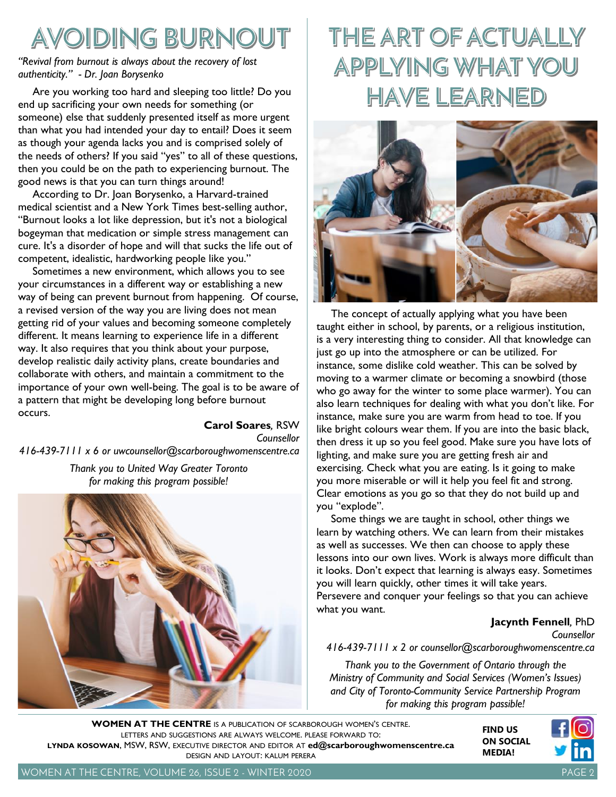# AVOIDING BURNOUT

*"Revival from burnout is always about the recovery of lost authenticity." - Dr. Joan Borysenko*

Are you working too hard and sleeping too little? Do you end up sacrificing your own needs for something (or someone) else that suddenly presented itself as more urgent than what you had intended your day to entail? Does it seem as though your agenda lacks you and is comprised solely of the needs of others? If you said "yes" to all of these questions, then you could be on the path to experiencing burnout. The good news is that you can turn things around!

According to Dr. Joan Borysenko, a Harvard-trained medical scientist and a New York Times best-selling author, "Burnout looks a lot like depression, but it's not a biological bogeyman that medication or simple stress management can cure. It's a disorder of hope and will that sucks the life out of competent, idealistic, hardworking people like you."

Sometimes a new environment, which allows you to see your circumstances in a different way or establishing a new way of being can prevent burnout from happening. Of course, a revised version of the way you are living does not mean getting rid of your values and becoming someone completely different. It means learning to experience life in a different way. It also requires that you think about your purpose, develop realistic daily activity plans, create boundaries and collaborate with others, and maintain a commitment to the importance of your own well-being. The goal is to be aware of a pattern that might be developing long before burnout occurs.

**Carol Soares***,* RSW *Counsellor 416-439-7111 x 6 or uwcounsellor@scarboroughwomenscentre.ca Thank you to United Way Greater Toronto for making this program possible!*



# THE ART OF ACTUALLY APPLYING WHAT YOU **HAVE LEARNED**



The concept of actually applying what you have been taught either in school, by parents, or a religious institution, is a very interesting thing to consider. All that knowledge can just go up into the atmosphere or can be utilized. For instance, some dislike cold weather. This can be solved by moving to a warmer climate or becoming a snowbird (those who go away for the winter to some place warmer). You can also learn techniques for dealing with what you don't like. For instance, make sure you are warm from head to toe. If you like bright colours wear them. If you are into the basic black, then dress it up so you feel good. Make sure you have lots of lighting, and make sure you are getting fresh air and exercising. Check what you are eating. Is it going to make you more miserable or will it help you feel fit and strong. Clear emotions as you go so that they do not build up and you "explode".

Some things we are taught in school, other things we learn by watching others. We can learn from their mistakes as well as successes. We then can choose to apply these lessons into our own lives. Work is always more difficult than it looks. Don't expect that learning is always easy. Sometimes you will learn quickly, other times it will take years. Persevere and conquer your feelings so that you can achieve what you want.

#### **Jacynth Fennell***,* PhD

*Counsellor*

*416-439-7111 x 2 or counsellor@scarboroughwomenscentre.ca*

*Thank you to the Government of Ontario through the Ministry of Community and Social Services (Women's Issues) and City of Toronto-Community Service Partnership Program for making this program passible!*

**WOMEN AT THE CENTRE** IS A PUBLICATION OF SCARBOROUGH WOMEN'S CENTRE. LETTERS AND SUGGESTIONS ARE ALWAYS WELCOME. PLEASE FORWARD TO: **LYNDA KOSOWAN**, MSW, RSW, EXECUTIVE DIRECTOR AND EDITOR AT **[ed@scarboroughwomenscentre.ca](mailto:ed@scarboroughwomenscentre.ca)**  DESIGN AND LAYOUT: KALUM PERERA



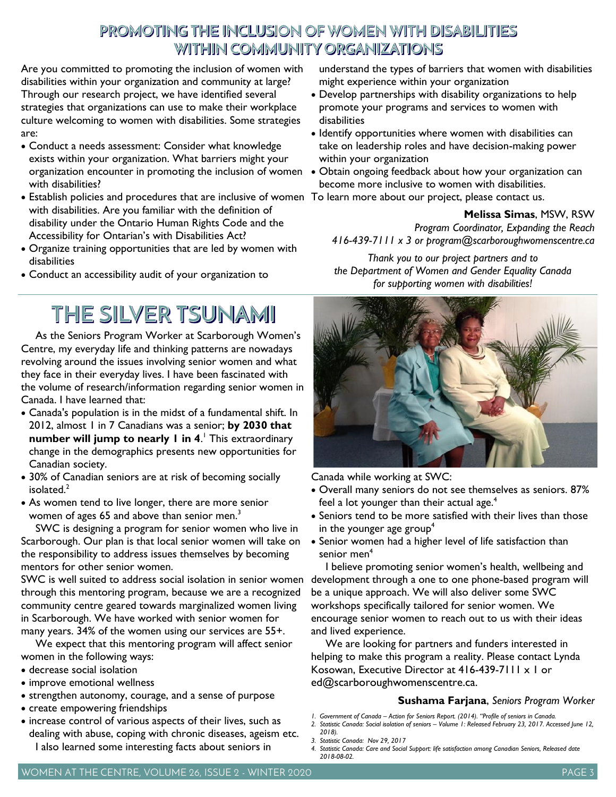### PROMOTING THE INCLUSION OF WOMEN WITH DISABILITIES WITHIN COMMUNITY ORGANIZATIONS

Are you committed to promoting the inclusion of women with disabilities within your organization and community at large? Through our research project, we have identified several strategies that organizations can use to make their workplace culture welcoming to women with disabilities. Some strategies are:

- Conduct a needs assessment: Consider what knowledge exists within your organization. What barriers might your organization encounter in promoting the inclusion of women with disabilities?
- Establish policies and procedures that are inclusive of women To learn more about our project, please contact us. with disabilities. Are you familiar with the definition of disability under the Ontario Human Rights Code and the Accessibility for Ontarian's with Disabilities Act?
- Organize training opportunities that are led by women with disabilities
- Conduct an accessibility audit of your organization to

## THE SILVER TSUNAMI

As the Seniors Program Worker at Scarborough Women's Centre, my everyday life and thinking patterns are nowadays revolving around the issues involving senior women and what they face in their everyday lives. I have been fascinated with the volume of research/information regarding senior women in Canada. I have learned that:

- Canada's population is in the midst of a fundamental shift. In 2012, almost 1 in 7 Canadians was a senior; **by 2030 that number will jump to nearly 1 in 4**. <sup>1</sup> This extraordinary change in the demographics presents new opportunities for Canadian society.
- 30% of Canadian seniors are at risk of becoming socially isolated.<sup>2</sup>
- As women tend to live longer, there are more senior women of ages 65 and above than senior men.<sup>3</sup>

SWC is designing a program for senior women who live in Scarborough. Our plan is that local senior women will take on the responsibility to address issues themselves by becoming mentors for other senior women.

SWC is well suited to address social isolation in senior women through this mentoring program, because we are a recognized community centre geared towards marginalized women living in Scarborough. We have worked with senior women for many years. 34% of the women using our services are 55+.

We expect that this mentoring program will affect senior women in the following ways:

- decrease social isolation
- improve emotional wellness
- strengthen autonomy, courage, and a sense of purpose
- create empowering friendships
- increase control of various aspects of their lives, such as dealing with abuse, coping with chronic diseases, ageism etc. I also learned some interesting facts about seniors in

understand the types of barriers that women with disabilities might experience within your organization

- Develop partnerships with disability organizations to help promote your programs and services to women with disabilities
- Identify opportunities where women with disabilities can take on leadership roles and have decision-making power within your organization
- Obtain ongoing feedback about how your organization can become more inclusive to women with disabilities.
- 

**Melissa Simas**, MSW, RSW *Program Coordinator, Expanding the Reach 416-439-7111 x 3 or program@scarboroughwomenscentre.ca*

*Thank you to our project partners and to the Department of Women and Gender Equality Canada for supporting women with disabilities!* 



Canada while working at SWC:

- Overall many seniors do not see themselves as seniors. 87% feel a lot younger than their actual age.<sup>4</sup>
- Seniors tend to be more satisfied with their lives than those in the younger age group<sup>4</sup>
- Senior women had a higher level of life satisfaction than senior men<sup>4</sup>

I believe promoting senior women's health, wellbeing and development through a one to one phone-based program will be a unique approach. We will also deliver some SWC workshops specifically tailored for senior women. We encourage senior women to reach out to us with their ideas and lived experience.

We are looking for partners and funders interested in helping to make this program a reality. Please contact Lynda Kosowan, Executive Director at 416-439-7111 x 1 or ed@scarboroughwomenscentre.ca.

#### **Sushama Farjana**, *Seniors Program Worker*

- *1. Government of Canada – Action for Seniors Report. (2014). "Profile of seniors in Canada.*
- *2. Statistic Canada: Social isolation of seniors – Volume 1: Released February 23, 2017. Accessed June 12, 2018).*
- *3. Statistic Canada: Nov 29, 2017*
- *4. Statistic Canada: Care and Social Support: life satisfaction among Canadian Seniors, Released date 2018-08-02.*